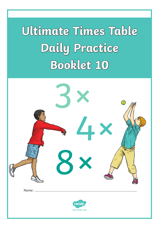# **Ultimate Times Table Daily Practice Booklet 10**

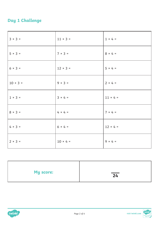### **Day 1 Challenge**

| $3 × 3 =$      | $11 × 3 =$      | $1 \times 4 =$  |
|----------------|-----------------|-----------------|
| $5 \times 3 =$ | $7 \times 3 =$  | $8 \times 4 =$  |
| $6 × 3 =$      | $12 \times 3 =$ | $5 × 4 =$       |
| $10 × 3 =$     | $9 \times 3 =$  | $2 \times 4 =$  |
| $1 \times 3 =$ | $3 × 4 =$       | $11 \times 4 =$ |
| $8 × 3 =$      | $4 \times 4 =$  | $7 × 4 =$       |
| $4 \times 3 =$ | $6 × 4 =$       | $12 \times 4 =$ |
| $2 × 3 =$      | $10 × 4 =$      | $9 \times 4 =$  |

| My score: | $\overline{24}$ |
|-----------|-----------------|
|           |                 |



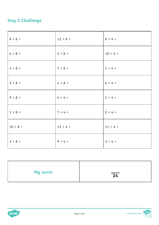### **Day 2 Challenge**

| $8 \times 8 =$ | $12 \times 8 =$ | $8 \times 4 =$  |
|----------------|-----------------|-----------------|
| $6 × 8 =$      | $5 \times 8 =$  | $10 × 4 =$      |
| $3 \times 8 =$ | $7 × 8 =$       | $1 \times 4 =$  |
| $2 \times 8 =$ | $4 \times 8 =$  | $6 × 4 =$       |
| $9 \times 8 =$ | $4 \times 4 =$  | $2 × 4 =$       |
| $1 \times 8 =$ | $7 × 4 =$       | $5 × 4 =$       |
| $10 × 8 =$     | $12 \times 4 =$ | $11 \times 4 =$ |
| $3 \times 8 =$ | $9 \times 4 =$  | $3 × 4 =$       |

| My score: | $\overline{24}$ |
|-----------|-----------------|
|           |                 |



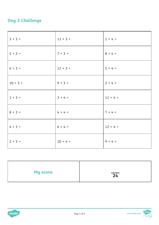### **Day 3 Challenge**

| $3 × 3 =$      | $11 \times 3 =$ | $1 \times 4 =$  |
|----------------|-----------------|-----------------|
| $5 × 3 =$      | $7 × 3 =$       | $8 × 4 =$       |
| $6 × 3 =$      | $12 \times 3 =$ | $5 \times 4 =$  |
| $10 × 3 =$     | $9 \times 3 =$  | $2 \times 4 =$  |
| $1 \times 3 =$ | $3 × 4 =$       | $11 \times 4 =$ |
| $8 × 3 =$      | $4 \times 4 =$  | $7 × 4 =$       |
| $4 \times 3 =$ | $6 × 4 =$       | $12 \times 4 =$ |
| $2 × 3 =$      | $10 × 4 =$      | $9 \times 4 =$  |

| <b>My score:</b> | $\overline{24}$ |
|------------------|-----------------|
|                  |                 |



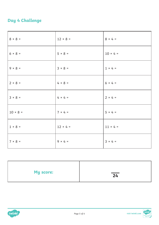#### **Day 4 Challenge**

| $8 \times 8 =$ | $12 \times 8 =$ | $8 \times 4 =$  |
|----------------|-----------------|-----------------|
| $6 × 8 =$      | $5 \times 8 =$  | $10 × 4 =$      |
| $9 \times 8 =$ | $3 × 8 =$       | $1 \times 4 =$  |
| $2 \times 8 =$ | $4 \times 8 =$  | $6 × 4 =$       |
| $3 \times 8 =$ | $4 \times 4 =$  | $2 × 4 =$       |
| $10 × 8 =$     | $7 × 4 =$       | $5 × 4 =$       |
| $1 \times 8 =$ | $12 \times 4 =$ | $11 \times 4 =$ |
| $7 \times 8 =$ | $9 \times 4 =$  | $3 × 4 =$       |

| My score: | $\overline{24}$ |
|-----------|-----------------|
|           |                 |